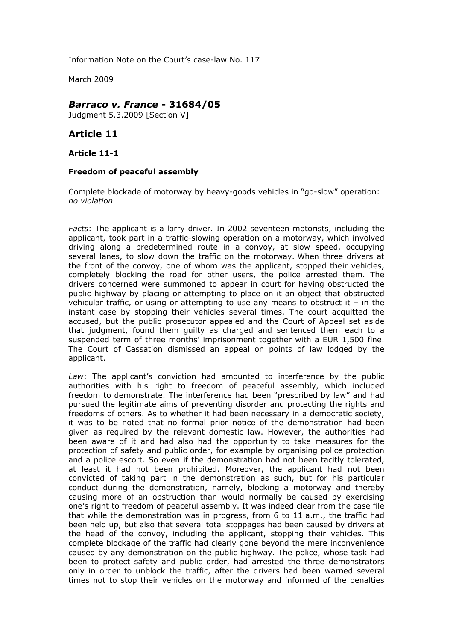Information Note on the Court's case-law No. 117

March 2009

## *Barraco v. France* **- 31684/05**

Judgment 5.3.2009 [Section V]

## **Article 11**

## **Article 11-1**

## **Freedom of peaceful assembly**

Complete blockade of motorway by heavy-goods vehicles in "go-slow" operation: *no violation*

*Facts*: The applicant is a lorry driver. In 2002 seventeen motorists, including the applicant, took part in a traffic-slowing operation on a motorway, which involved driving along a predetermined route in a convoy, at slow speed, occupying several lanes, to slow down the traffic on the motorway. When three drivers at the front of the convoy, one of whom was the applicant, stopped their vehicles, completely blocking the road for other users, the police arrested them. The drivers concerned were summoned to appear in court for having obstructed the public highway by placing or attempting to place on it an object that obstructed vehicular traffic, or using or attempting to use any means to obstruct it – in the instant case by stopping their vehicles several times. The court acquitted the accused, but the public prosecutor appealed and the Court of Appeal set aside that judgment, found them guilty as charged and sentenced them each to a suspended term of three months' imprisonment together with a EUR 1,500 fine. The Court of Cassation dismissed an appeal on points of law lodged by the applicant.

*Law*: The applicant's conviction had amounted to interference by the public authorities with his right to freedom of peaceful assembly, which included freedom to demonstrate. The interference had been "prescribed by law" and had pursued the legitimate aims of preventing disorder and protecting the rights and freedoms of others. As to whether it had been necessary in a democratic society, it was to be noted that no formal prior notice of the demonstration had been given as required by the relevant domestic law. However, the authorities had been aware of it and had also had the opportunity to take measures for the protection of safety and public order, for example by organising police protection and a police escort. So even if the demonstration had not been tacitly tolerated, at least it had not been prohibited. Moreover, the applicant had not been convicted of taking part in the demonstration as such, but for his particular conduct during the demonstration, namely, blocking a motorway and thereby causing more of an obstruction than would normally be caused by exercising one's right to freedom of peaceful assembly. It was indeed clear from the case file that while the demonstration was in progress, from 6 to 11 a.m., the traffic had been held up, but also that several total stoppages had been caused by drivers at the head of the convoy, including the applicant, stopping their vehicles. This complete blockage of the traffic had clearly gone beyond the mere inconvenience caused by any demonstration on the public highway. The police, whose task had been to protect safety and public order, had arrested the three demonstrators only in order to unblock the traffic, after the drivers had been warned several times not to stop their vehicles on the motorway and informed of the penalties